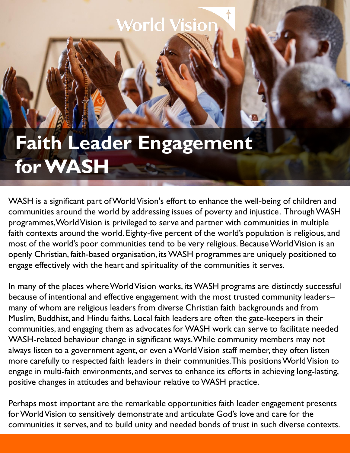## *Norld Visi*

## **Faith Leader Engagement for WASH**

WASH is a significant part of World Vision's effort to enhance the well-being of children and communities around the world by addressing issues of poverty and injustice. Through WASH programmes, World Vision is privileged to serve and partner with communities in multiple faith contexts around the world. Eighty-five percent of the world's population is religious, and most of the world's poor communities tend to be very religious. Because World Vision is an openly Christian, faith-based organisation, its WASH programmes are uniquely positioned to engage effectively with the heart and spirituality of the communities it serves.

In many of the places where World Vision works, its WASH programs are distinctly successful because of intentional and effective engagement with the most trusted community leaders– many of whom are religious leaders from diverse Christian faith backgrounds and from Muslim, Buddhist, and Hindu faiths. Local faith leaders are often the gate-keepers in their communities, and engaging them as advocates for WASH work can serve to facilitate needed WASH-related behaviour change in significant ways. While community members may not always listen to a government agent, or even a World Vision staff member, they often listen more carefully to respected faith leaders in their communities. This positions World Vision to engage in multi-faith environments, and serves to enhance its efforts in achieving long-lasting, positive changes in attitudes and behaviour relative to WASH practice.

Perhaps most important are the remarkable opportunities faith leader engagement presents for World Vision to sensitively demonstrate and articulate God's love and care for the communities it serves, and to build unity and needed bonds of trust in such diverse contexts.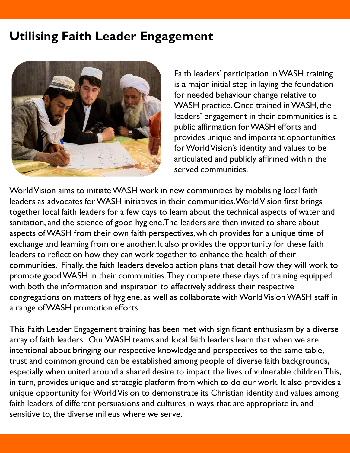## **Utilising Faith Leader Engagement**



Faith leaders' participation in WASH training is a major initial step in laying the foundation for needed behaviour change relative to WASH practice. Once trained in WASH, the leaders' engagement in their communities is a public affirmation for WASH efforts and provides unique and important opportunities for World Vision's identity and values to be articulated and publicly affirmed within the served communities.

World Vision aims to initiate WASH work in new communities by mobilising local faith leaders as advocates for WASH initiatives in their communities. World Vision first brings together local faith leaders for a few days to learn about the technical aspects of water and sanitation, and the science of good hygiene. The leaders are then invited to share about aspects of WASH from their own faith perspectives, which provides for a unique time of exchange and learning from one another. It also provides the opportunity for these faith leaders to reflect on how they can work together to enhance the health of their communities. Finally, the faith leaders develop action plans that detail how they will work to promote good WASH in their communities. They complete these days of training equipped with both the information and inspiration to effectively address their respective congregations on matters of hygiene, as well as collaborate with World Vision WASH staff in a range of WASH promotion efforts.

This Faith Leader Engagement training has been met with significant enthusiasm by a diverse array of faith leaders. Our WASH teams and local faith leaders learn that when we are intentional about bringing our respective knowledge and perspectives to the same table, trust and common ground can be established among people of diverse faith backgrounds, especially when united around a shared desire to impact the lives of vulnerable children. This, in turn, provides unique and strategic platform from which to do our work. It also provides a unique opportunity for World Vision to demonstrate its Christian identity and values among faith leaders of different persuasions and cultures in ways that are appropriate in, and sensitive to, the diverse milieus where we serve.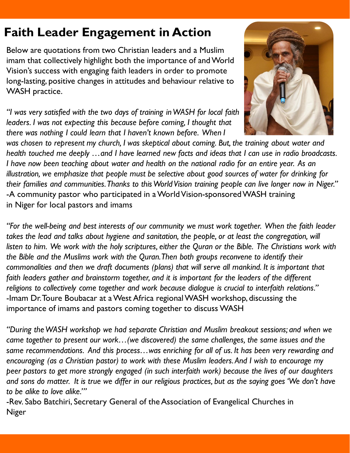## **Faith Leader Engagement in Action**

Below are quotations from two Christian leaders and a Muslim imam that collectively highlight both the importance of and World Vision's success with engaging faith leaders in order to promote long-lasting, positive changes in attitudes and behaviour relative to WASH practice.

*"I was very satisfied with the two days of training in WASH for local faith leaders. I was not expecting this because before coming, I thought that there was nothing I could learn that I haven't known before. When I*



*was chosen to represent my church, I was skeptical about coming. But, the training about water and health touched me deeply …and I have learned new facts and ideas that I can use in radio broadcasts. I have now been teaching about water and health on the national radio for an entire year. As an illustration, we emphasize that people must be selective about good sources of water for drinking for*  their families and communities. Thanks to this World Vision training people can live longer now in Niger." -A community pastor who participated in a World Vision-sponsored WASH training in Niger for local pastors and imams

*"For the well-being and best interests of our community we must work together. When the faith leader*  takes the lead and talks about hygiene and sanitation, the people, or at least the congregation, will *listen to him. We work with the holy scriptures, either the Quran or the Bible. The Christians work with the Bible and the Muslims work with the Quran. Then both groups reconvene to identify their commonalities and then we draft documents (plans) that will serve all mankind. It is important that faith leaders gather and brainstorm together, and it is important for the leaders of the different religions to collectively come together and work because dialogue is crucial to interfaith relations."* -Imam Dr. Toure Boubacar at a West Africa regional WASH workshop, discussing the importance of imams and pastors coming together to discuss WASH

*"During the WASH workshop we had separate Christian and Muslim breakout sessions; and when we came together to present our work…(we discovered) the same challenges, the same issues and the same recommendations. And this process…was enriching for all of us. It has been very rewarding and encouraging (as a Christian pastor) to work with these Muslim leaders. And I wish to encourage my peer pastors to get more strongly engaged (in such interfaith work) because the lives of our daughters and sons do matter. It is true we differ in our religious practices, but as the saying goes 'We don't have to be alike to love alike.'"*

-Rev. Sabo Batchiri, Secretary General of the Association of Evangelical Churches in Niger